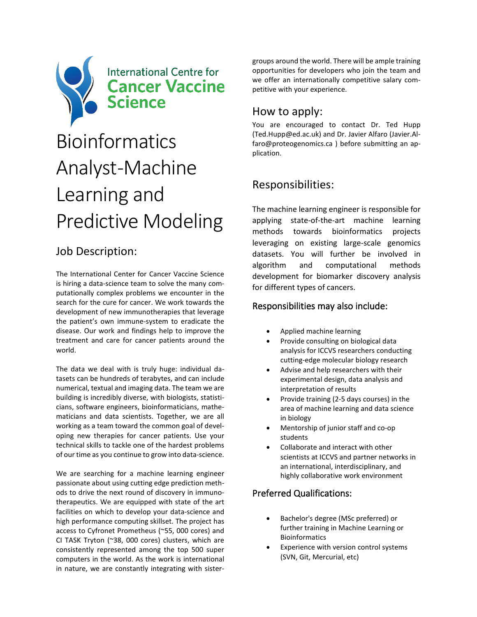

# Bioinformatics Analyst-Machine Learning and Predictive Modeling

## Job Description:

The International Center for Cancer Vaccine Science is hiring a data-science team to solve the many computationally complex problems we encounter in the search for the cure for cancer. We work towards the development of new immunotherapies that leverage the patient's own immune-system to eradicate the disease. Our work and findings help to improve the treatment and care for cancer patients around the world.

The data we deal with is truly huge: individual datasets can be hundreds of terabytes, and can include numerical, textual and imaging data. The team we are building is incredibly diverse, with biologists, statisticians, software engineers, bioinformaticians, mathematicians and data scientists. Together, we are all working as a team toward the common goal of developing new therapies for cancer patients. Use your technical skills to tackle one of the hardest problems of our time as you continue to grow into data-science.

We are searching for a machine learning engineer passionate about using cutting edge prediction methods to drive the next round of discovery in immunotherapeutics. We are equipped with state of the art facilities on which to develop your data-science and high performance computing skillset. The project has access to Cyfronet Prometheus (~55, 000 cores) and CI TASK Tryton (~38, 000 cores) clusters, which are consistently represented among the top 500 super computers in the world. As the work is international in nature, we are constantly integrating with sistergroups around the world. There will be ample training opportunities for developers who join the team and we offer an internationally competitive salary competitive with your experience.

### How to apply:

You are encouraged to contact Dr. Ted Hupp (Ted.Hupp@ed.ac.uk) and Dr. Javier Alfaro (Javier.Alfaro@proteogenomics.ca ) before submitting an application.

## Responsibilities:

The machine learning engineer is responsible for applying state-of-the-art machine learning methods towards bioinformatics projects leveraging on existing large-scale genomics datasets. You will further be involved in algorithm and computational methods development for biomarker discovery analysis for different types of cancers.

#### Responsibilities may also include:

- Applied machine learning
- Provide consulting on biological data analysis for ICCVS researchers conducting cutting-edge molecular biology research
- Advise and help researchers with their experimental design, data analysis and interpretation of results
- Provide training (2-5 days courses) in the area of machine learning and data science in biology
- Mentorship of junior staff and co-op students
- Collaborate and interact with other scientists at ICCVS and partner networks in an international, interdisciplinary, and highly collaborative work environment

#### Preferred Qualifications:

- Bachelor's degree (MSc preferred) or further training in Machine Learning or Bioinformatics
- Experience with version control systems (SVN, Git, Mercurial, etc)